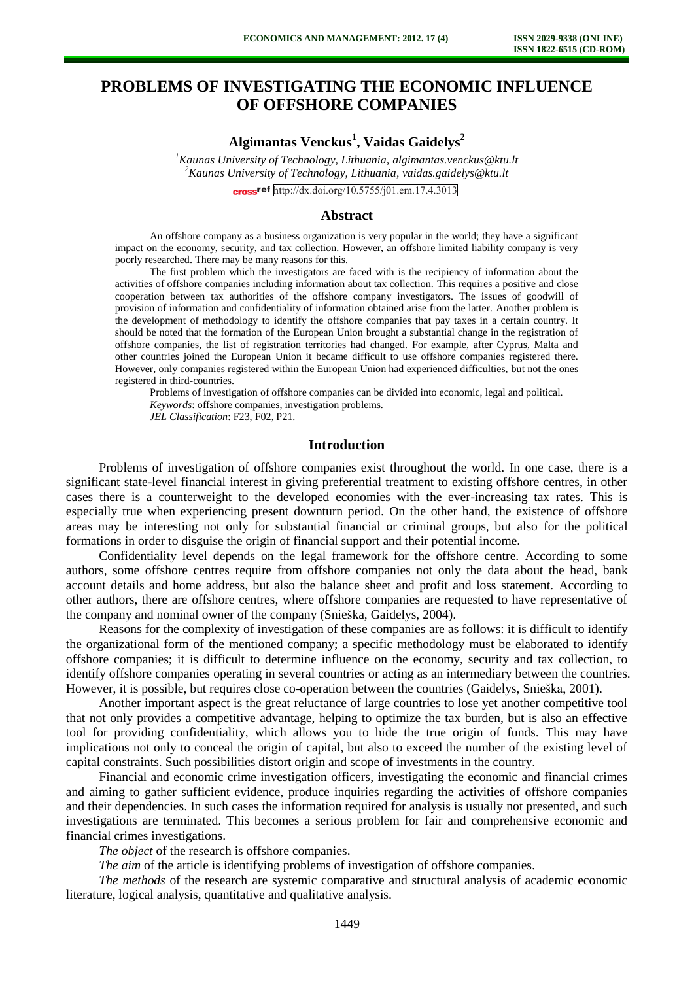# **PROBLEMS OF INVESTIGATING THE ECONOMIC INFLUENCE OF OFFSHORE COMPANIES**

## **Algimantas Venckus<sup>1</sup> , Vaidas Gaidelys<sup>2</sup>**

*<sup>1</sup>Kaunas University of Technology, Lithuania, algimantas.venckus@ktu.lt <sup>2</sup>Kaunas University of Technology, Lithuania, vaidas.gaidelys@ktu.lt*  cross<sup>ref</sup> <http://dx.doi.org/10.5755/j01.em.17.4.3013>

#### **Abstract**

An offshore company as a business organization is very popular in the world; they have a significant impact on the economy, security, and tax collection. However, an offshore limited liability company is very poorly researched. There may be many reasons for this.

The first problem which the investigators are faced with is the recipiency of information about the activities of offshore companies including information about tax collection. This requires a positive and close cooperation between tax authorities of the offshore company investigators. The issues of goodwill of provision of information and confidentiality of information obtained arise from the latter. Another problem is the development of methodology to identify the offshore companies that pay taxes in a certain country. It should be noted that the formation of the European Union brought a substantial change in the registration of offshore companies, the list of registration territories had changed. For example, after Cyprus, Malta and other countries joined the European Union it became difficult to use offshore companies registered there. However, only companies registered within the European Union had experienced difficulties, but not the ones registered in third-countries.

Problems of investigation of offshore companies can be divided into economic, legal and political. *Keywords*: offshore companies, investigation problems. *JEL Classification*: F23, F02, P21.

**Introduction** 

Problems of investigation of offshore companies exist throughout the world. In one case, there is a significant state-level financial interest in giving preferential treatment to existing offshore centres, in other cases there is a counterweight to the developed economies with the ever-increasing tax rates. This is especially true when experiencing present downturn period. On the other hand, the existence of offshore areas may be interesting not only for substantial financial or criminal groups, but also for the political formations in order to disguise the origin of financial support and their potential income.

Confidentiality level depends on the legal framework for the offshore centre. According to some authors, some offshore centres require from offshore companies not only the data about the head, bank account details and home address, but also the balance sheet and profit and loss statement. According to other authors, there are offshore centres, where offshore companies are requested to have representative of the company and nominal owner of the company (Snieška, Gaidelys, 2004).

Reasons for the complexity of investigation of these companies are as follows: it is difficult to identify the organizational form of the mentioned company; a specific methodology must be elaborated to identify offshore companies; it is difficult to determine influence on the economy, security and tax collection, to identify offshore companies operating in several countries or acting as an intermediary between the countries. However, it is possible, but requires close co-operation between the countries (Gaidelys, Snieška, 2001).

Another important aspect is the great reluctance of large countries to lose yet another competitive tool that not only provides a competitive advantage, helping to optimize the tax burden, but is also an effective tool for providing confidentiality, which allows you to hide the true origin of funds. This may have implications not only to conceal the origin of capital, but also to exceed the number of the existing level of capital constraints. Such possibilities distort origin and scope of investments in the country.

Financial and economic crime investigation officers, investigating the economic and financial crimes and aiming to gather sufficient evidence, produce inquiries regarding the activities of offshore companies and their dependencies. In such cases the information required for analysis is usually not presented, and such investigations are terminated. This becomes a serious problem for fair and comprehensive economic and financial crimes investigations.

*The object* of the research is offshore companies.

*The aim* of the article is identifying problems of investigation of offshore companies.

*The methods* of the research are systemic comparative and structural analysis of academic economic literature, logical analysis, quantitative and qualitative analysis.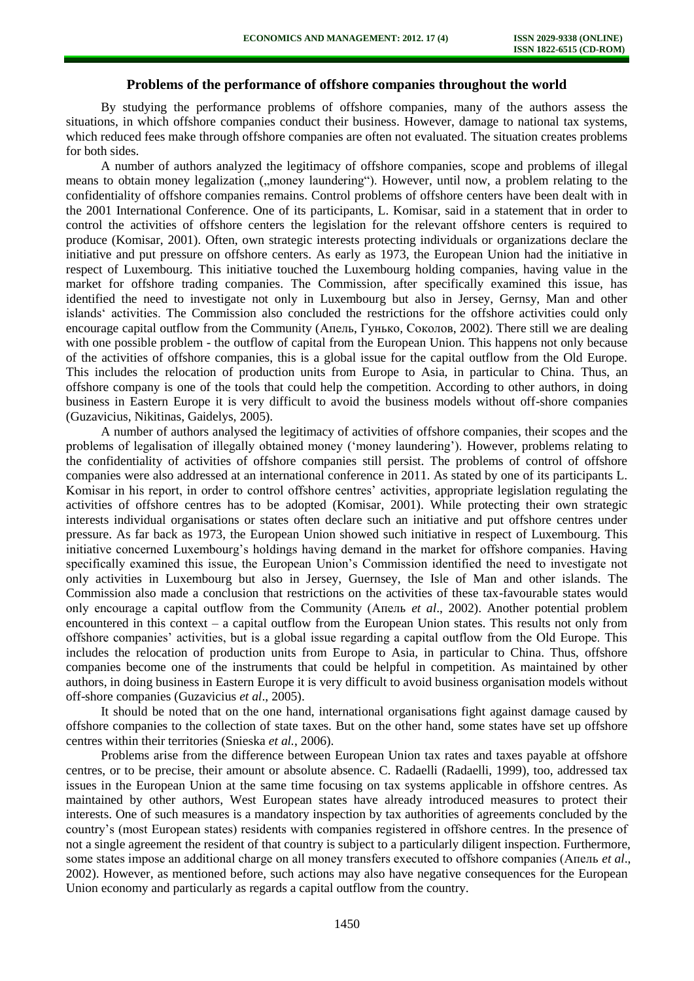#### **Problems of the performance of offshore companies throughout the world**

By studying the performance problems of offshore companies, many of the authors assess the situations, in which offshore companies conduct their business. However, damage to national tax systems, which reduced fees make through offshore companies are often not evaluated. The situation creates problems for both sides.

A number of authors analyzed the legitimacy of offshore companies, scope and problems of illegal means to obtain money legalization ("money laundering"). However, until now, a problem relating to the confidentiality of offshore companies remains. Control problems of offshore centers have been dealt with in the 2001 International Conference. One of its participants, L. Komisar, said in a statement that in order to control the activities of offshore centers the legislation for the relevant offshore centers is required to produce (Komisar, 2001). Often, own strategic interests protecting individuals or organizations declare the initiative and put pressure on offshore centers. As early as 1973, the European Union had the initiative in respect of Luxembourg. This initiative touched the Luxembourg holding companies, having value in the market for offshore trading companies. The Commission, after specifically examined this issue, has identified the need to investigate not only in Luxembourg but also in Jersey, Gernsy, Man and other islands' activities. The Commission also concluded the restrictions for the offshore activities could only encourage capital outflow from the Community (Апель, Гунько, Соколов, 2002). There still we are dealing with one possible problem - the outflow of capital from the European Union. This happens not only because of the activities of offshore companies, this is a global issue for the capital outflow from the Old Europe. This includes the relocation of production units from Europe to Asia, in particular to China. Thus, an offshore company is one of the tools that could help the competition. According to other authors, in doing business in Eastern Europe it is very difficult to avoid the business models without off-shore companies (Guzavicius, Nikitinas, Gaidelys, 2005).

A number of authors analysed the legitimacy of activities of offshore companies, their scopes and the problems of legalisation of illegally obtained money ('money laundering'). However, problems relating to the confidentiality of activities of offshore companies still persist. The problems of control of offshore companies were also addressed at an international conference in 2011. As stated by one of its participants L. Komisar in his report, in order to control offshore centres' activities, appropriate legislation regulating the activities of offshore centres has to be adopted (Komisar, 2001). While protecting their own strategic interests individual organisations or states often declare such an initiative and put offshore centres under pressure. As far back as 1973, the European Union showed such initiative in respect of Luxembourg. This initiative concerned Luxembourg's holdings having demand in the market for offshore companies. Having specifically examined this issue, the European Union's Commission identified the need to investigate not only activities in Luxembourg but also in Jersey, Guernsey, the Isle of Man and other islands. The Commission also made a conclusion that restrictions on the activities of these tax-favourable states would only encourage a capital outflow from the Community (Апель *et al*., 2002). Another potential problem encountered in this context – a capital outflow from the European Union states. This results not only from offshore companies' activities, but is a global issue regarding a capital outflow from the Old Europe. This includes the relocation of production units from Europe to Asia, in particular to China. Thus, offshore companies become one of the instruments that could be helpful in competition. As maintained by other authors, in doing business in Eastern Europe it is very difficult to avoid business organisation models without off-shore companies (Guzavicius *et al*., 2005).

It should be noted that on the one hand, international organisations fight against damage caused by offshore companies to the collection of state taxes. But on the other hand, some states have set up offshore centres within their territories (Snieska *et al.*, 2006).

Problems arise from the difference between European Union tax rates and taxes payable at offshore centres, or to be precise, their amount or absolute absence. C. Radaelli (Radaelli, 1999), too, addressed tax issues in the European Union at the same time focusing on tax systems applicable in offshore centres. As maintained by other authors, West European states have already introduced measures to protect their interests. One of such measures is a mandatory inspection by tax authorities of agreements concluded by the country's (most European states) residents with companies registered in offshore centres. In the presence of not a single agreement the resident of that country is subject to a particularly diligent inspection. Furthermore, some states impose an additional charge on all money transfers executed to offshore companies (Апель *et al*., 2002). However, as mentioned before, such actions may also have negative consequences for the European Union economy and particularly as regards a capital outflow from the country.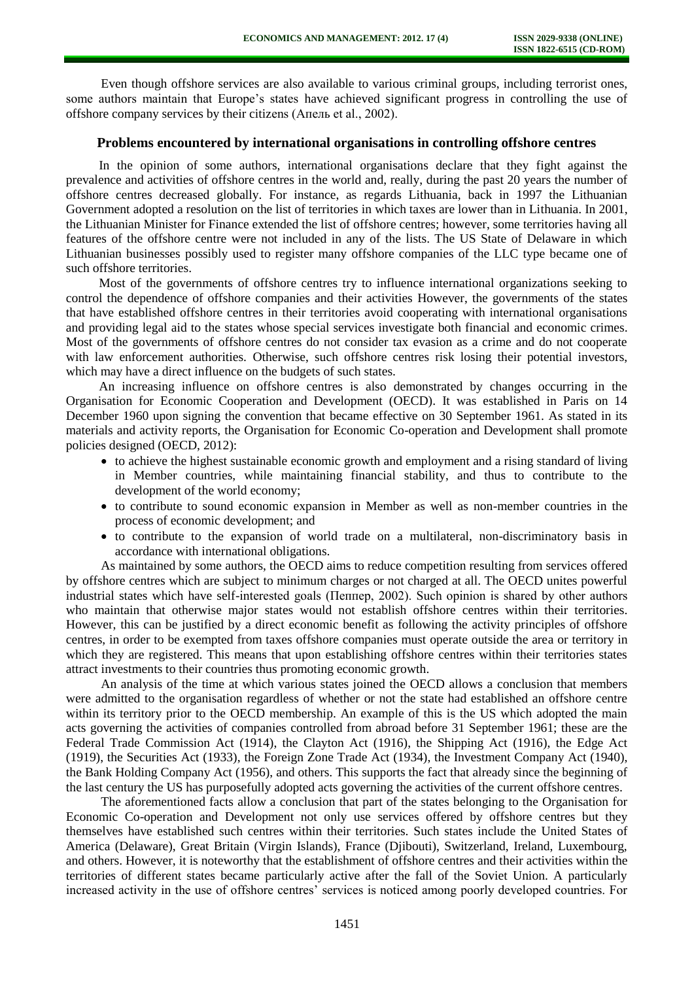Even though offshore services are also available to various criminal groups, including terrorist ones, some authors maintain that Europe's states have achieved significant progress in controlling the use of offshore company services by their citizens (Апель et al., 2002).

#### **Problems encountered by international organisations in controlling offshore centres**

In the opinion of some authors, international organisations declare that they fight against the prevalence and activities of offshore centres in the world and, really, during the past 20 years the number of offshore centres decreased globally. For instance, as regards Lithuania, back in 1997 the Lithuanian Government adopted a resolution on the list of territories in which taxes are lower than in Lithuania. In 2001, the Lithuanian Minister for Finance extended the list of offshore centres; however, some territories having all features of the offshore centre were not included in any of the lists. The US State of Delaware in which Lithuanian businesses possibly used to register many offshore companies of the LLC type became one of such offshore territories.

Most of the governments of offshore centres try to influence international organizations seeking to control the dependence of offshore companies and their activities However, the governments of the states that have established offshore centres in their territories avoid cooperating with international organisations and providing legal aid to the states whose special services investigate both financial and economic crimes. Most of the governments of offshore centres do not consider tax evasion as a crime and do not cooperate with law enforcement authorities. Otherwise, such offshore centres risk losing their potential investors, which may have a direct influence on the budgets of such states.

An increasing influence on offshore centres is also demonstrated by changes occurring in the Organisation for Economic Cooperation and Development (OECD). It was established in Paris on 14 December 1960 upon signing the convention that became effective on 30 September 1961. As stated in its materials and activity reports, the Organisation for Economic Co-operation and Development shall promote policies designed (OECD, 2012):

- to achieve the highest sustainable economic growth and employment and a rising standard of living in Member countries, while maintaining financial stability, and thus to contribute to the development of the world economy;
- to contribute to sound economic expansion in Member as well as non-member countries in the process of economic development; and
- to contribute to the expansion of world trade on a multilateral, non-discriminatory basis in accordance with international obligations.

As maintained by some authors, the OECD aims to reduce competition resulting from services offered by offshore centres which are subject to minimum charges or not charged at all. The OECD unites powerful industrial states which have self-interested goals (Пеппер, 2002). Such opinion is shared by other authors who maintain that otherwise major states would not establish offshore centres within their territories. However, this can be justified by a direct economic benefit as following the activity principles of offshore centres, in order to be exempted from taxes offshore companies must operate outside the area or territory in which they are registered. This means that upon establishing offshore centres within their territories states attract investments to their countries thus promoting economic growth.

An analysis of the time at which various states joined the OECD allows a conclusion that members were admitted to the organisation regardless of whether or not the state had established an offshore centre within its territory prior to the OECD membership. An example of this is the US which adopted the main acts governing the activities of companies controlled from abroad before 31 September 1961; these are the Federal Trade Commission Act (1914), the Clayton Act (1916), the Shipping Act (1916), the Edge Act (1919), the Securities Act (1933), the Foreign Zone Trade Act (1934), the Investment Company Act (1940), the Bank Holding Company Act (1956), and others. This supports the fact that already since the beginning of the last century the US has purposefully adopted acts governing the activities of the current offshore centres.

The aforementioned facts allow a conclusion that part of the states belonging to the Organisation for Economic Co-operation and Development not only use services offered by offshore centres but they themselves have established such centres within their territories. Such states include the United States of America (Delaware), Great Britain (Virgin Islands), France (Djibouti), Switzerland, Ireland, Luxembourg, and others. However, it is noteworthy that the establishment of offshore centres and their activities within the territories of different states became particularly active after the fall of the Soviet Union. A particularly increased activity in the use of offshore centres' services is noticed among poorly developed countries. For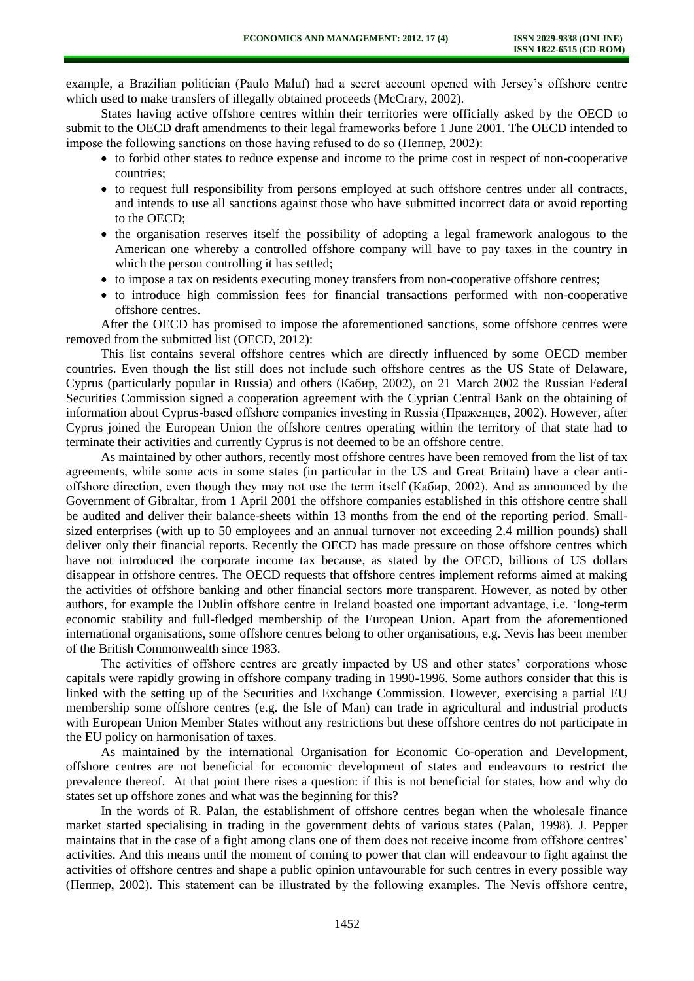example, a Brazilian politician (Paulo Maluf) had a secret account opened with Jersey's offshore centre which used to make transfers of illegally obtained proceeds (McCrary, 2002).

States having active offshore centres within their territories were officially asked by the OECD to submit to the OECD draft amendments to their legal frameworks before 1 June 2001. The OECD intended to impose the following sanctions on those having refused to do so (Пеппер, 2002):

- to forbid other states to reduce expense and income to the prime cost in respect of non-cooperative countries;
- to request full responsibility from persons employed at such offshore centres under all contracts, and intends to use all sanctions against those who have submitted incorrect data or avoid reporting to the OECD;
- the organisation reserves itself the possibility of adopting a legal framework analogous to the American one whereby a controlled offshore company will have to pay taxes in the country in which the person controlling it has settled;
- to impose a tax on residents executing money transfers from non-cooperative offshore centres;
- to introduce high commission fees for financial transactions performed with non-cooperative offshore centres.

After the OECD has promised to impose the aforementioned sanctions, some offshore centres were removed from the submitted list (OECD, 2012):

This list contains several offshore centres which are directly influenced by some OECD member countries. Even though the list still does not include such offshore centres as the US State of Delaware, Cyprus (particularly popular in Russia) and others (Кабир, 2002), on 21 March 2002 the Russian Federal Securities Commission signed a cooperation agreement with the Cyprian Central Bank on the obtaining of information about Cyprus-based offshore companies investing in Russia (Праженцев, 2002). However, after Cyprus joined the European Union the offshore centres operating within the territory of that state had to terminate their activities and currently Cyprus is not deemed to be an offshore centre.

As maintained by other authors, recently most offshore centres have been removed from the list of tax agreements, while some acts in some states (in particular in the US and Great Britain) have a clear antioffshore direction, even though they may not use the term itself (Кабир, 2002). And as announced by the Government of Gibraltar, from 1 April 2001 the offshore companies established in this offshore centre shall be audited and deliver their balance-sheets within 13 months from the end of the reporting period. Smallsized enterprises (with up to 50 employees and an annual turnover not exceeding 2.4 million pounds) shall deliver only their financial reports. Recently the OECD has made pressure on those offshore centres which have not introduced the corporate income tax because, as stated by the OECD, billions of US dollars disappear in offshore centres. The OECD requests that offshore centres implement reforms aimed at making the activities of offshore banking and other financial sectors more transparent. However, as noted by other authors, for example the Dublin offshore centre in Ireland boasted one important advantage, i.e. 'long-term economic stability and full-fledged membership of the European Union. Apart from the aforementioned international organisations, some offshore centres belong to other organisations, e.g. Nevis has been member of the British Commonwealth since 1983.

The activities of offshore centres are greatly impacted by US and other states' corporations whose capitals were rapidly growing in offshore company trading in 1990-1996. Some authors consider that this is linked with the setting up of the Securities and Exchange Commission. However, exercising a partial EU membership some offshore centres (e.g. the Isle of Man) can trade in agricultural and industrial products with European Union Member States without any restrictions but these offshore centres do not participate in the EU policy on harmonisation of taxes.

As maintained by the international Organisation for Economic Co-operation and Development, offshore centres are not beneficial for economic development of states and endeavours to restrict the prevalence thereof. At that point there rises a question: if this is not beneficial for states, how and why do states set up offshore zones and what was the beginning for this?

In the words of R. Palan, the establishment of offshore centres began when the wholesale finance market started specialising in trading in the government debts of various states (Palan, 1998). J. Pepper maintains that in the case of a fight among clans one of them does not receive income from offshore centres' activities. And this means until the moment of coming to power that clan will endeavour to fight against the activities of offshore centres and shape a public opinion unfavourable for such centres in every possible way (Пеппер, 2002). This statement can be illustrated by the following examples. The Nevis offshore centre,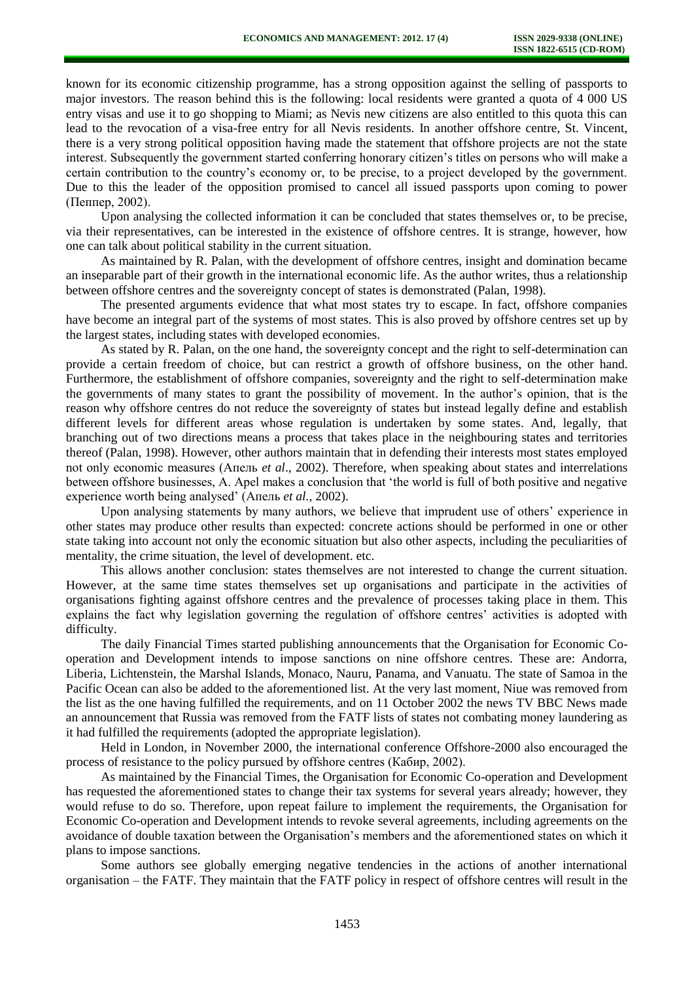known for its economic citizenship programme, has a strong opposition against the selling of passports to major investors. The reason behind this is the following: local residents were granted a quota of 4 000 US entry visas and use it to go shopping to Miami; as Nevis new citizens are also entitled to this quota this can lead to the revocation of a visa-free entry for all Nevis residents. In another offshore centre, St. Vincent, there is a very strong political opposition having made the statement that offshore projects are not the state interest. Subsequently the government started conferring honorary citizen's titles on persons who will make a certain contribution to the country's economy or, to be precise, to a project developed by the government. Due to this the leader of the opposition promised to cancel all issued passports upon coming to power (Пеппер, 2002).

Upon analysing the collected information it can be concluded that states themselves or, to be precise, via their representatives, can be interested in the existence of offshore centres. It is strange, however, how one can talk about political stability in the current situation.

As maintained by R. Palan, with the development of offshore centres, insight and domination became an inseparable part of their growth in the international economic life. As the author writes, thus a relationship between offshore centres and the sovereignty concept of states is demonstrated (Palan, 1998).

The presented arguments evidence that what most states try to escape. In fact, offshore companies have become an integral part of the systems of most states. This is also proved by offshore centres set up by the largest states, including states with developed economies.

As stated by R. Palan, on the one hand, the sovereignty concept and the right to self-determination can provide a certain freedom of choice, but can restrict a growth of offshore business, on the other hand. Furthermore, the establishment of offshore companies, sovereignty and the right to self-determination make the governments of many states to grant the possibility of movement. In the author's opinion, that is the reason why offshore centres do not reduce the sovereignty of states but instead legally define and establish different levels for different areas whose regulation is undertaken by some states. And, legally, that branching out of two directions means a process that takes place in the neighbouring states and territories thereof (Palan, 1998). However, other authors maintain that in defending their interests most states employed not only economic measures (Апель *et al*., 2002). Therefore, when speaking about states and interrelations between offshore businesses, A. Apel makes a conclusion that 'the world is full of both positive and negative experience worth being analysed' (Апель *et al.*, 2002).

Upon analysing statements by many authors, we believe that imprudent use of others' experience in other states may produce other results than expected: concrete actions should be performed in one or other state taking into account not only the economic situation but also other aspects, including the peculiarities of mentality, the crime situation, the level of development. etc.

This allows another conclusion: states themselves are not interested to change the current situation. However, at the same time states themselves set up organisations and participate in the activities of organisations fighting against offshore centres and the prevalence of processes taking place in them. This explains the fact why legislation governing the regulation of offshore centres' activities is adopted with difficulty.

The daily Financial Times started publishing announcements that the Organisation for Economic Cooperation and Development intends to impose sanctions on nine offshore centres. These are: Andorra, Liberia, Lichtenstein, the Marshal Islands, Monaco, Nauru, Panama, and Vanuatu. The state of Samoa in the Pacific Ocean can also be added to the aforementioned list. At the very last moment, Niue was removed from the list as the one having fulfilled the requirements, and on 11 October 2002 the news TV BBC News made an announcement that Russia was removed from the FATF lists of states not combating money laundering as it had fulfilled the requirements (adopted the appropriate legislation).

Held in London, in November 2000, the international conference Offshore-2000 also encouraged the process of resistance to the policy pursued by offshore centres (Кабир, 2002).

As maintained by the Financial Times, the Organisation for Economic Co-operation and Development has requested the aforementioned states to change their tax systems for several years already; however, they would refuse to do so. Therefore, upon repeat failure to implement the requirements, the Organisation for Economic Co-operation and Development intends to revoke several agreements, including agreements on the avoidance of double taxation between the Organisation's members and the aforementioned states on which it plans to impose sanctions.

Some authors see globally emerging negative tendencies in the actions of another international organisation – the FATF. They maintain that the FATF policy in respect of offshore centres will result in the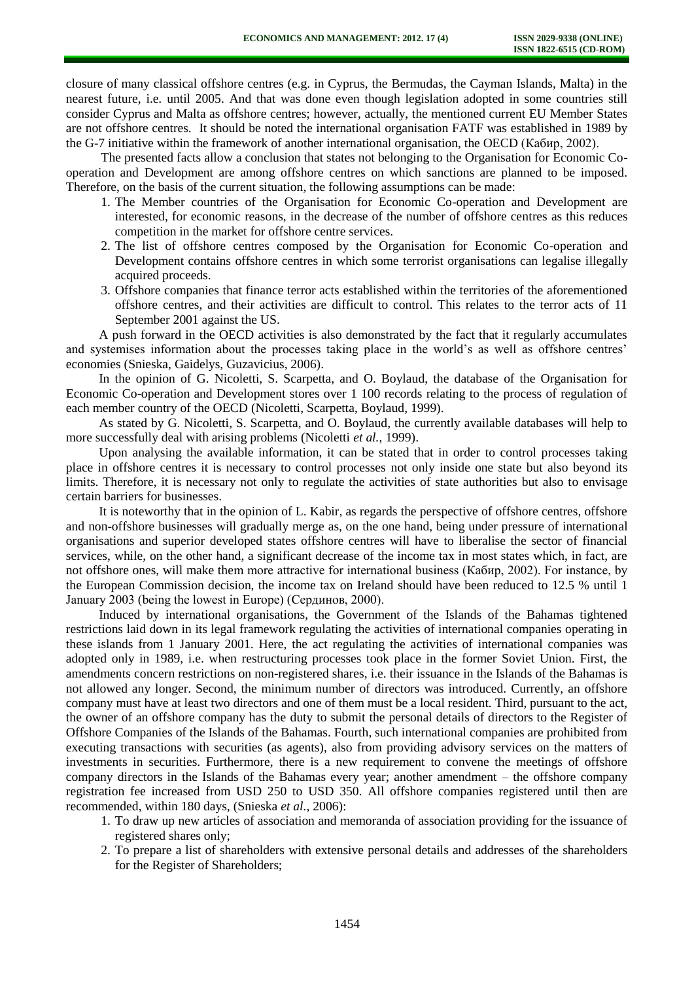closure of many classical offshore centres (e.g. in Cyprus, the Bermudas, the Cayman Islands, Malta) in the nearest future, i.e. until 2005. And that was done even though legislation adopted in some countries still consider Cyprus and Malta as offshore centres; however, actually, the mentioned current EU Member States are not offshore centres. It should be noted the international organisation FATF was established in 1989 by the G-7 initiative within the framework of another international organisation, the OECD (Кабир, 2002).

The presented facts allow a conclusion that states not belonging to the Organisation for Economic Cooperation and Development are among offshore centres on which sanctions are planned to be imposed. Therefore, on the basis of the current situation, the following assumptions can be made:

- 1. The Member countries of the Organisation for Economic Co-operation and Development are interested, for economic reasons, in the decrease of the number of offshore centres as this reduces competition in the market for offshore centre services.
- 2. The list of offshore centres composed by the Organisation for Economic Co-operation and Development contains offshore centres in which some terrorist organisations can legalise illegally acquired proceeds.
- 3. Offshore companies that finance terror acts established within the territories of the aforementioned offshore centres, and their activities are difficult to control. This relates to the terror acts of 11 September 2001 against the US.

A push forward in the OECD activities is also demonstrated by the fact that it regularly accumulates and systemises information about the processes taking place in the world's as well as offshore centres' economies (Snieska, Gaidelys, Guzavicius, 2006).

In the opinion of G. Nicoletti, S. Scarpetta, and O. Boylaud, the database of the Organisation for Economic Co-operation and Development stores over 1 100 records relating to the process of regulation of each member country of the OECD (Nicoletti, Scarpetta, Boylaud, 1999).

As stated by G. Nicoletti, S. Scarpetta, and O. Boylaud, the currently available databases will help to more successfully deal with arising problems (Nicoletti *et al.*, 1999).

Upon analysing the available information, it can be stated that in order to control processes taking place in offshore centres it is necessary to control processes not only inside one state but also beyond its limits. Therefore, it is necessary not only to regulate the activities of state authorities but also to envisage certain barriers for businesses.

It is noteworthy that in the opinion of L. Kabir, as regards the perspective of offshore centres, offshore and non-offshore businesses will gradually merge as, on the one hand, being under pressure of international organisations and superior developed states offshore centres will have to liberalise the sector of financial services, while, on the other hand, a significant decrease of the income tax in most states which, in fact, are not offshore ones, will make them more attractive for international business (Кабир, 2002). For instance, by the European Commission decision, the income tax on Ireland should have been reduced to 12.5 % until 1 January 2003 (being the lowest in Europe) (Сердинов, 2000).

Induced by international organisations, the Government of the Islands of the Bahamas tightened restrictions laid down in its legal framework regulating the activities of international companies operating in these islands from 1 January 2001. Here, the act regulating the activities of international companies was adopted only in 1989, i.e. when restructuring processes took place in the former Soviet Union. First, the amendments concern restrictions on non-registered shares, i.e. their issuance in the Islands of the Bahamas is not allowed any longer. Second, the minimum number of directors was introduced. Currently, an offshore company must have at least two directors and one of them must be a local resident. Third, pursuant to the act, the owner of an offshore company has the duty to submit the personal details of directors to the Register of Offshore Companies of the Islands of the Bahamas. Fourth, such international companies are prohibited from executing transactions with securities (as agents), also from providing advisory services on the matters of investments in securities. Furthermore, there is a new requirement to convene the meetings of offshore company directors in the Islands of the Bahamas every year; another amendment – the offshore company registration fee increased from USD 250 to USD 350. All offshore companies registered until then are recommended, within 180 days, (Snieska *et al.*, 2006):

- 1. To draw up new articles of association and memoranda of association providing for the issuance of registered shares only;
- 2. To prepare a list of shareholders with extensive personal details and addresses of the shareholders for the Register of Shareholders;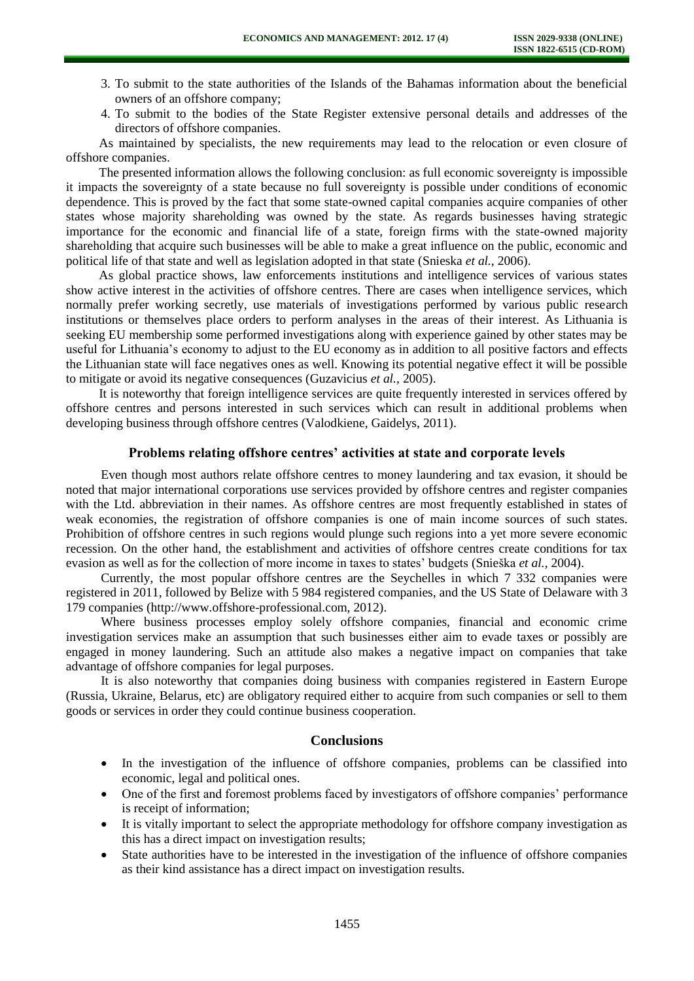- 3. To submit to the state authorities of the Islands of the Bahamas information about the beneficial owners of an offshore company;
- 4. To submit to the bodies of the State Register extensive personal details and addresses of the directors of offshore companies.

As maintained by specialists, the new requirements may lead to the relocation or even closure of offshore companies.

The presented information allows the following conclusion: as full economic sovereignty is impossible it impacts the sovereignty of a state because no full sovereignty is possible under conditions of economic dependence. This is proved by the fact that some state-owned capital companies acquire companies of other states whose majority shareholding was owned by the state. As regards businesses having strategic importance for the economic and financial life of a state, foreign firms with the state-owned majority shareholding that acquire such businesses will be able to make a great influence on the public, economic and political life of that state and well as legislation adopted in that state (Snieska *et al.*, 2006).

As global practice shows, law enforcements institutions and intelligence services of various states show active interest in the activities of offshore centres. There are cases when intelligence services, which normally prefer working secretly, use materials of investigations performed by various public research institutions or themselves place orders to perform analyses in the areas of their interest. As Lithuania is seeking EU membership some performed investigations along with experience gained by other states may be useful for Lithuania's economy to adjust to the EU economy as in addition to all positive factors and effects the Lithuanian state will face negatives ones as well. Knowing its potential negative effect it will be possible to mitigate or avoid its negative consequences (Guzavicius *et al.*, 2005).

It is noteworthy that foreign intelligence services are quite frequently interested in services offered by offshore centres and persons interested in such services which can result in additional problems when developing business through offshore centres (Valodkiene, Gaidelys, 2011).

### **Problems relating offshore centres' activities at state and corporate levels**

Even though most authors relate offshore centres to money laundering and tax evasion, it should be noted that major international corporations use services provided by offshore centres and register companies with the Ltd. abbreviation in their names. As offshore centres are most frequently established in states of weak economies, the registration of offshore companies is one of main income sources of such states. Prohibition of offshore centres in such regions would plunge such regions into a yet more severe economic recession. On the other hand, the establishment and activities of offshore centres create conditions for tax evasion as well as for the collection of more income in taxes to states' budgets (Snieška *et al.*, 2004).

Currently, the most popular offshore centres are the Seychelles in which 7 332 companies were registered in 2011, followed by Belize with 5 984 registered companies, and the US State of Delaware with 3 179 companies [\(http://www.offshore-professional.com,](http://www.offshore-professional.com/) 2012).

Where business processes employ solely offshore companies, financial and economic crime investigation services make an assumption that such businesses either aim to evade taxes or possibly are engaged in money laundering. Such an attitude also makes a negative impact on companies that take advantage of offshore companies for legal purposes.

It is also noteworthy that companies doing business with companies registered in Eastern Europe (Russia, Ukraine, Belarus, etc) are obligatory required either to acquire from such companies or sell to them goods or services in order they could continue business cooperation.

### **Conclusions**

- In the investigation of the influence of offshore companies, problems can be classified into economic, legal and political ones.
- One of the first and foremost problems faced by investigators of offshore companies' performance is receipt of information;
- It is vitally important to select the appropriate methodology for offshore company investigation as this has a direct impact on investigation results;
- State authorities have to be interested in the investigation of the influence of offshore companies as their kind assistance has a direct impact on investigation results.